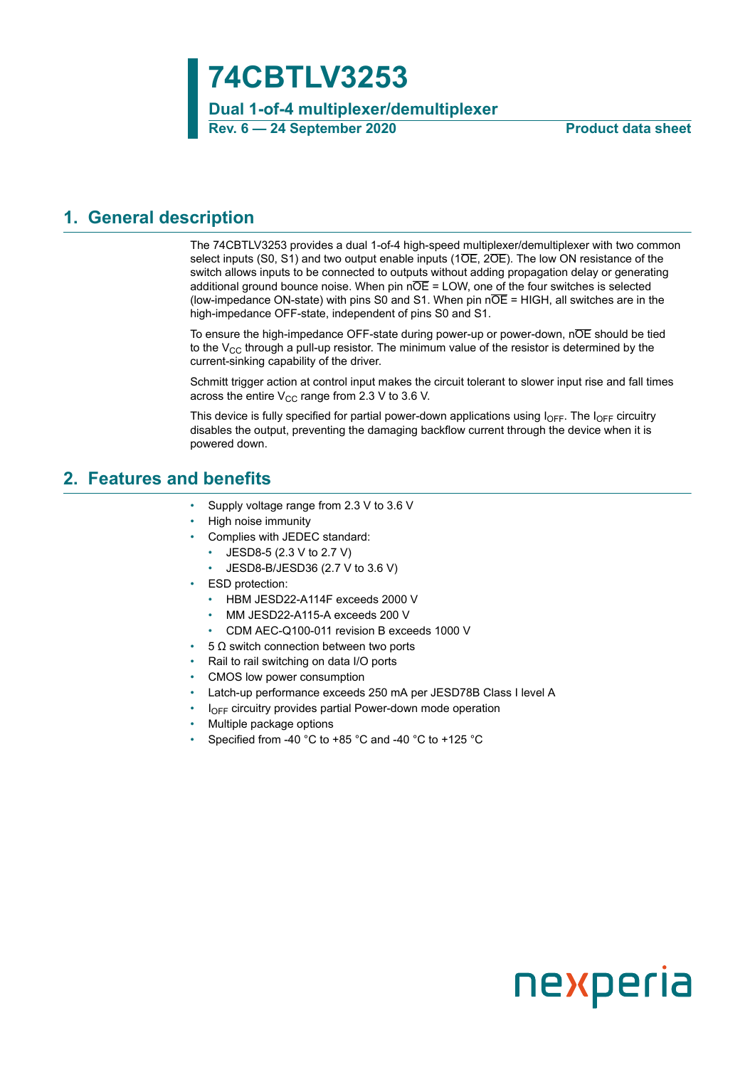**74CBTLV3253**

**Dual 1-of-4 multiplexer/demultiplexer Rev. 6 — 24 September 2020 Product data sheet**

### <span id="page-0-0"></span>**1. General description**

The 74CBTLV3253 provides a dual 1-of-4 high-speed multiplexer/demultiplexer with two common select inputs (S0, S1) and two output enable inputs (1 $\overline{OE}$ , 2 $\overline{OE}$ ). The low ON resistance of the switch allows inputs to be connected to outputs without adding propagation delay or generating additional ground bounce noise. When pin  $n\overline{OE} = LOW$ , one of the four switches is selected (low-impedance ON-state) with pins S0 and S1. When pin  $n\overline{OE}$  = HIGH, all switches are in the high-impedance OFF-state, independent of pins S0 and S1.

To ensure the high-impedance OFF-state during power-up or power-down, nOE should be tied to the  $V_{CC}$  through a pull-up resistor. The minimum value of the resistor is determined by the current-sinking capability of the driver.

Schmitt trigger action at control input makes the circuit tolerant to slower input rise and fall times across the entire  $V_{CC}$  range from 2.3 V to 3.6 V.

This device is fully specified for partial power-down applications using  $I_{\text{OFF}}$ . The  $I_{\text{OFF}}$  circuitry disables the output, preventing the damaging backflow current through the device when it is powered down.

### <span id="page-0-1"></span>**2. Features and benefits**

- Supply voltage range from 2.3 V to 3.6 V
- High noise immunity
- Complies with JEDEC standard:
	- JESD8-5 (2.3 V to 2.7 V)
	- JESD8-B/JESD36 (2.7 V to 3.6 V)
- **ESD** protection:
	- HBM JESD22-A114F exceeds 2000 V
	- MM JESD22-A115-A exceeds 200 V
	- CDM AEC-Q100-011 revision B exceeds 1000 V
- $\cdot$  5 Ω switch connection between two ports
- Rail to rail switching on data I/O ports
- CMOS low power consumption
- Latch-up performance exceeds 250 mA per JESD78B Class I level A
- $\cdot$  I<sub>OFF</sub> circuitry provides partial Power-down mode operation
- Multiple package options
- Specified from -40 °C to +85 °C and -40 °C to +125 °C

# nexperia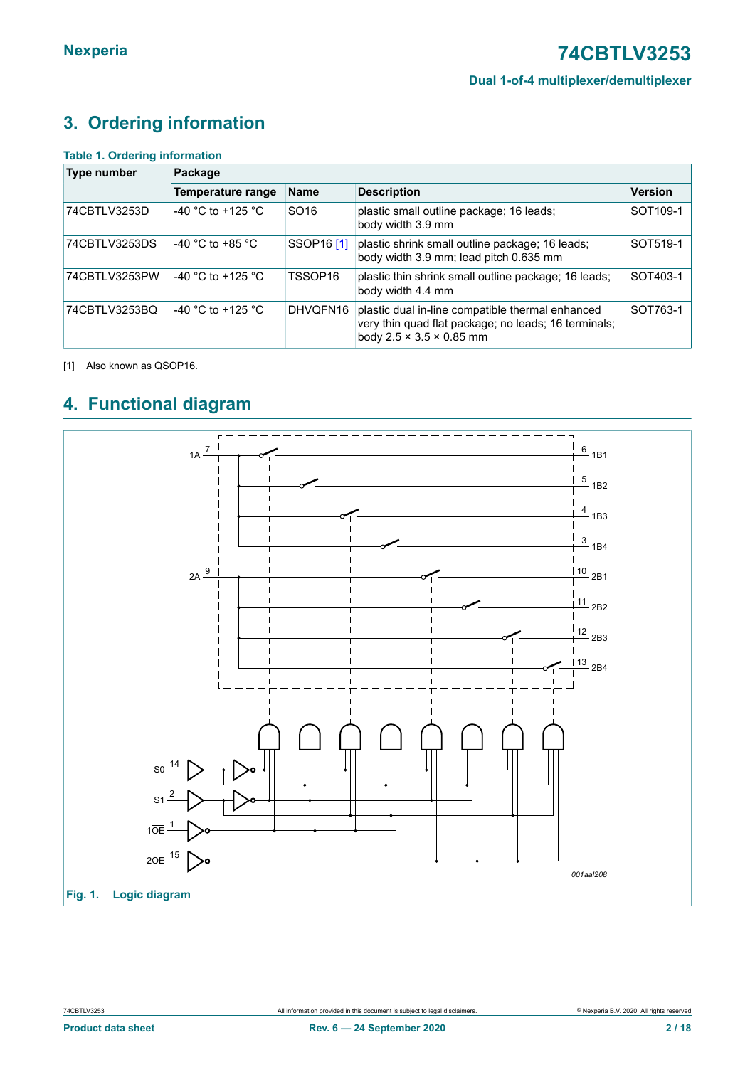# <span id="page-1-1"></span><span id="page-1-0"></span>**3. Ordering information**

| <b>Table 1. Ordering information</b> |                   |                  |                                                                                                                                                  |                |  |  |  |  |
|--------------------------------------|-------------------|------------------|--------------------------------------------------------------------------------------------------------------------------------------------------|----------------|--|--|--|--|
| Type number                          | Package           |                  |                                                                                                                                                  |                |  |  |  |  |
|                                      | Temperature range | <b>Name</b>      | <b>Description</b>                                                                                                                               | <b>Version</b> |  |  |  |  |
| 74CBTLV3253D                         | -40 °C to +125 °C | SO <sub>16</sub> | plastic small outline package; 16 leads;<br>body width 3.9 mm                                                                                    | SOT109-1       |  |  |  |  |
| 74CBTLV3253DS                        | -40 °C to +85 °C  | SSOP16 [1]       | plastic shrink small outline package; 16 leads;<br>body width 3.9 mm; lead pitch 0.635 mm                                                        | SOT519-1       |  |  |  |  |
| 74CBTLV3253PW                        | -40 °C to +125 °C | TSSOP16          | plastic thin shrink small outline package; 16 leads;<br>body width 4.4 mm                                                                        | SOT403-1       |  |  |  |  |
| 74CBTLV3253BQ                        | -40 °C to +125 °C | DHVOFN16         | plastic dual in-line compatible thermal enhanced<br>very thin quad flat package; no leads; 16 terminals;<br>body $2.5 \times 3.5 \times 0.85$ mm | SOT763-1       |  |  |  |  |

[1] Also known as QSOP16.

# <span id="page-1-2"></span>**4. Functional diagram**

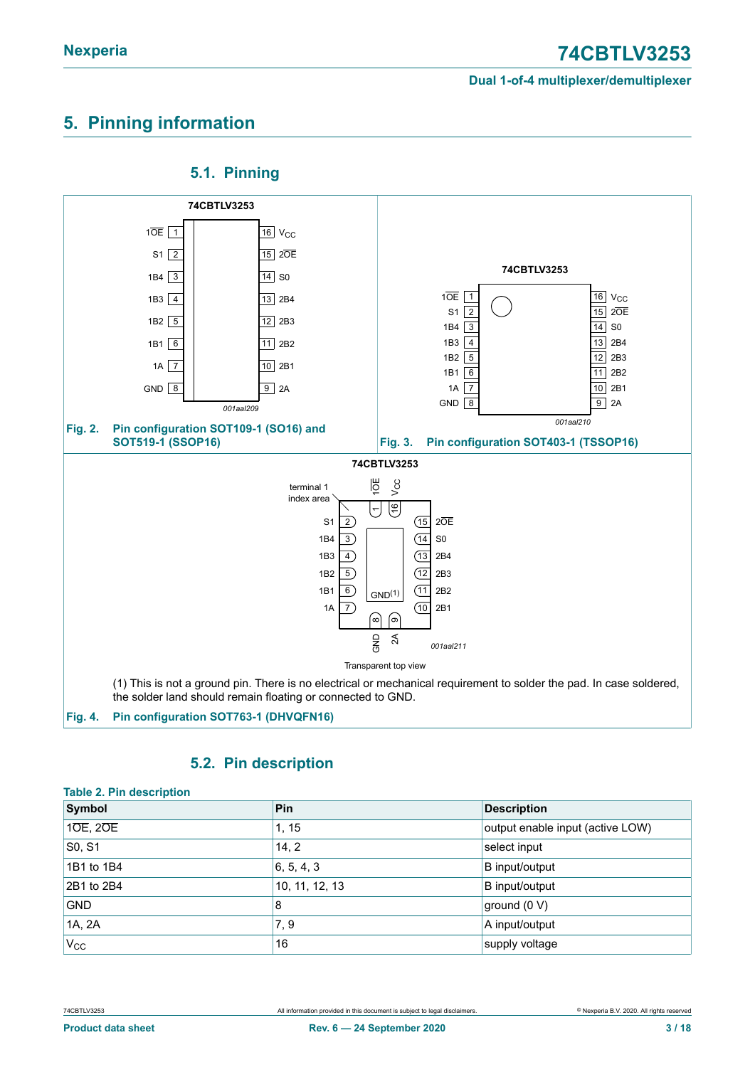## <span id="page-2-0"></span>**5. Pinning information**



### <span id="page-2-1"></span>**5.1. Pinning**

### <span id="page-2-2"></span>**5.2. Pin description**

### **Table 2. Pin description**

| Symbol         | Pin            | <b>Description</b>               |
|----------------|----------------|----------------------------------|
| 10E, 20E       | 1, 15          | output enable input (active LOW) |
| $\vert$ SO, S1 | 14, 2          | select input                     |
| 1B1 to 1B4     | 6, 5, 4, 3     | B input/output                   |
| 2B1 to 2B4     | 10, 11, 12, 13 | B input/output                   |
| <b>GND</b>     | 8              | ground (0 V)                     |
| 1A, 2A         | 7,9            | A input/output                   |
| $V_{CC}$       | 16             | supply voltage                   |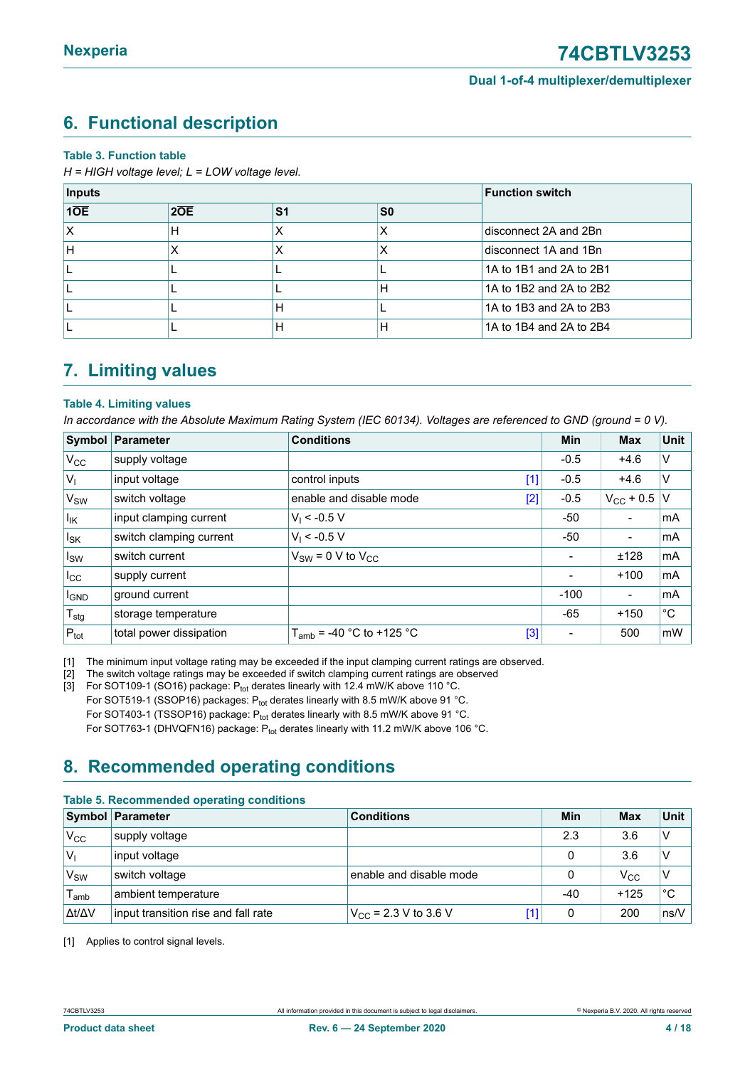### <span id="page-3-2"></span><span id="page-3-0"></span>**6. Functional description**

#### **Table 3. Function table**

*H = HIGH voltage level; L = LOW voltage level.*

| Inputs |     | <b>Function switch</b> |                 |                         |
|--------|-----|------------------------|-----------------|-------------------------|
| 10E    | 2OE | S <sub>1</sub>         | SO <sub>2</sub> |                         |
|        | н   |                        | ∧               | disconnect 2A and 2Bn   |
| ΙH     |     |                        |                 | disconnect 1A and 1Bn   |
|        |     |                        |                 | 1A to 1B1 and 2A to 2B1 |
|        |     |                        | Н               | 1A to 1B2 and 2A to 2B2 |
|        |     | н                      |                 | 1A to 1B3 and 2A to 2B3 |
|        |     | н                      | Н               | 1A to 1B4 and 2A to 2B4 |

### <span id="page-3-3"></span>**7. Limiting values**

#### <span id="page-3-1"></span>**Table 4. Limiting values**

In accordance with the Absolute Maximum Rating System (IEC 60134). Voltages are referenced to GND (ground = 0 V).

|                       | Symbol Parameter        | <b>Conditions</b>                      | Min                      | <b>Max</b>               | <b>Unit</b>  |
|-----------------------|-------------------------|----------------------------------------|--------------------------|--------------------------|--------------|
| V <sub>CC</sub>       | supply voltage          |                                        | $-0.5$                   | $+4.6$                   | V            |
| $V_{I}$               | input voltage           | control inputs<br>[1]                  | $-0.5$                   | $+4.6$                   | ΙV           |
| <b>V<sub>SW</sub></b> | switch voltage          | enable and disable mode<br>$[2]$       | $-0.5$                   | $V_{\rm CC}$ + 0.5   V   |              |
| $I_{IK}$              | input clamping current  | $V_1 < -0.5 V$                         | -50                      | $\overline{\phantom{0}}$ | l mA         |
| $I_{SK}$              | switch clamping current | $V_1$ < -0.5 V                         | -50                      | $\blacksquare$           | mA           |
| $I_{SW}$              | switch current          | $V_{SW} = 0 V$ to $V_{CC}$             | $\overline{\phantom{a}}$ | ±128                     | l mA         |
| $ I_{CC} $            | supply current          |                                        | $\overline{\phantom{a}}$ | $+100$                   | ImA          |
| $I_{GND}$             | ground current          |                                        | $-100$                   | $\overline{\phantom{a}}$ | mA           |
| $T_{\text{stg}}$      | storage temperature     |                                        | -65                      | $+150$                   | $^{\circ}$ C |
| $P_{\text{tot}}$      | total power dissipation | $T_{amb}$ = -40 °C to +125 °C<br>$[3]$ | $\overline{\phantom{a}}$ | 500                      | mW           |

[1] The minimum input voltage rating may be exceeded if the input clamping current ratings are observed.

[2] The switch voltage ratings may be exceeded if switch clamping current ratings are observed

[3] For SOT109-1 (SO16) package:  $P_{tot}$  derates linearly with 12.4 mW/K above 110 °C.

For SOT519-1 (SSOP16) packages: P<sub>tot</sub> derates linearly with 8.5 mW/K above 91 °C. For SOT403-1 (TSSOP16) package: P<sub>tot</sub> derates linearly with 8.5 mW/K above 91 °C.

For SOT763-1 (DHVQFN16) package: P<sub>tot</sub> derates linearly with 11.2 mW/K above 106 °C.

### <span id="page-3-4"></span>**8. Recommended operating conditions**

|                     | Symbol Parameter                    |                           |       |              |      |  |  |  |
|---------------------|-------------------------------------|---------------------------|-------|--------------|------|--|--|--|
|                     |                                     | <b>Conditions</b>         | Min   | Max          | Unit |  |  |  |
| $"V_{\rm CC}$       | supply voltage                      |                           | 2.3   | 3.6          |      |  |  |  |
| $V_{1}$             | input voltage                       |                           | 0     | 3.6          |      |  |  |  |
| $V_{SW}$            | switch voltage                      | enable and disable mode   | 0     | $V_{\rm CC}$ |      |  |  |  |
| l <sub>amb</sub>    | ambient temperature                 |                           | $-40$ | $+125$       | °C   |  |  |  |
| $\Delta t/\Delta V$ | input transition rise and fall rate | $V_{CC}$ = 2.3 V to 3.6 V | 0     | 200          | ns/V |  |  |  |

[1] Applies to control signal levels.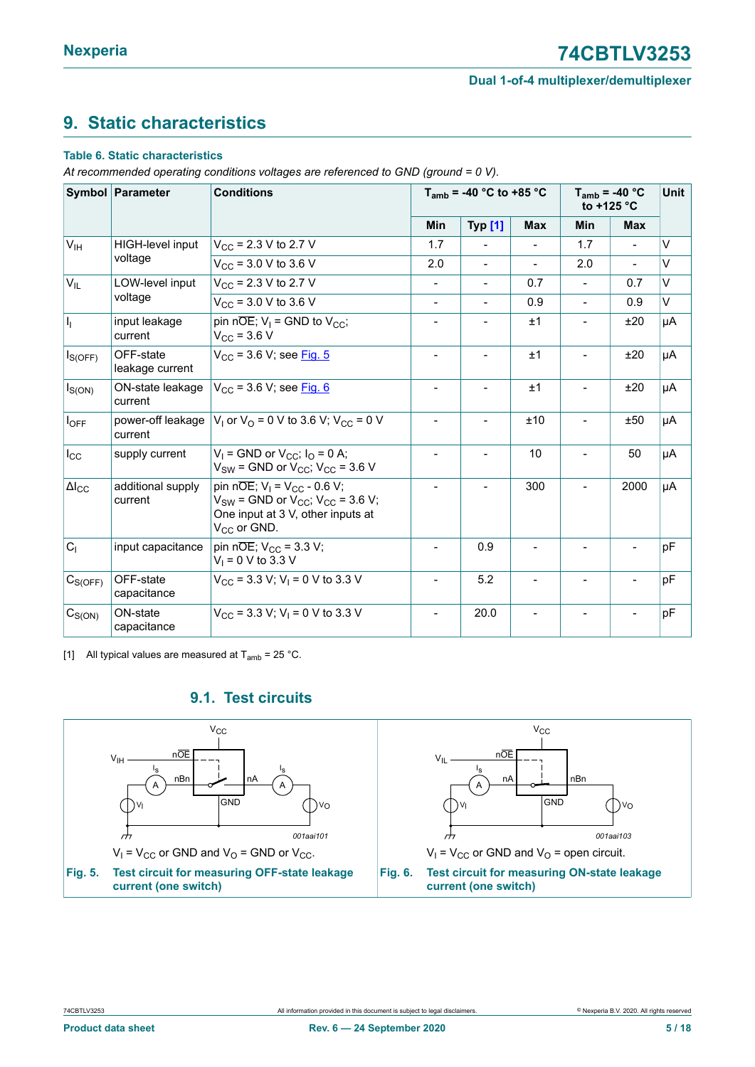# <span id="page-4-3"></span><span id="page-4-0"></span>**9. Static characteristics**

### **Table 6. Static characteristics**

*At recommended operating conditions voltages are referenced to GND (ground = 0 V).*

|                     | Symbol Parameter             | <b>Conditions</b>                                                                                                                            |                          | $T_{amb}$ = -40 °C to +85 °C |                |                | $T_{amb}$ = -40 °C<br>to $+125$ °C |    |
|---------------------|------------------------------|----------------------------------------------------------------------------------------------------------------------------------------------|--------------------------|------------------------------|----------------|----------------|------------------------------------|----|
|                     |                              |                                                                                                                                              | Min                      | <b>Typ [1]</b>               | <b>Max</b>     | Min            | <b>Max</b>                         |    |
| V <sub>IH</sub>     | HIGH-level input             | $V_{\rm CC}$ = 2.3 V to 2.7 V                                                                                                                | 1.7                      |                              | $\blacksquare$ | 1.7            | $\blacksquare$                     | V  |
|                     | voltage                      | $V_{CC}$ = 3.0 V to 3.6 V                                                                                                                    | 2.0                      | $\blacksquare$               | $\blacksquare$ | 2.0            | $\blacksquare$                     | V  |
| $V_{IL}$            | LOW-level input              | $V_{\rm CC}$ = 2.3 V to 2.7 V                                                                                                                | $\blacksquare$           | $\blacksquare$               | 0.7            |                | 0.7                                | V  |
|                     | voltage                      | $V_{CC}$ = 3.0 V to 3.6 V                                                                                                                    |                          |                              | 0.9            | $\blacksquare$ | 0.9                                | V  |
| h                   | input leakage<br>current     | pin nOE; $V_1$ = GND to $V_{CC}$ ;<br>$V_{CC}$ = 3.6 V                                                                                       |                          |                              | ±1             |                | ±20                                | μA |
| $I_{S(OFF)}$        | OFF-state<br>leakage current | $V_{CC}$ = 3.6 V; see Fig. 5                                                                                                                 | $\overline{\phantom{a}}$ |                              | ±1             |                | ±20                                | μA |
| $I_{S(ON)}$         | ON-state leakage<br>current  | $V_{CC}$ = 3.6 V; see Fig. 6                                                                                                                 | $\blacksquare$           |                              | ±1             |                | ±20                                | μA |
| $I_{OFF}$           | power-off leakage<br>current | $V_1$ or $V_0$ = 0 V to 3.6 V; $V_{CC}$ = 0 V                                                                                                | $\blacksquare$           | $\overline{a}$               | ±10            |                | ±50                                | μA |
| $I_{\rm CC}$        | supply current               | $V_1$ = GND or $V_{CC}$ ; $I_0$ = 0 A;<br>$V_{SW}$ = GND or $V_{CC}$ ; $V_{CC}$ = 3.6 V                                                      |                          |                              | 10             |                | 50                                 | μA |
| $\Delta I_{\rm CC}$ | additional supply<br>current | pin nOE; $V_1 = V_{CC} - 0.6 V$ ;<br>$V_{SW}$ = GND or $V_{CC}$ ; $V_{CC}$ = 3.6 V;<br>One input at 3 V, other inputs at<br>$V_{CC}$ or GND. | $\overline{\phantom{0}}$ | $\overline{\phantom{a}}$     | 300            |                | 2000                               | μA |
| C <sub>1</sub>      | input capacitance            | pin n $\overline{OE}$ ; V <sub>CC</sub> = 3.3 V;<br>$V_1 = 0$ V to 3.3 V                                                                     | $\overline{a}$           | 0.9                          | $\blacksquare$ |                | $\overline{\phantom{a}}$           | pF |
| $C_{S(OFF)}$        | OFF-state<br>capacitance     | $V_{CC}$ = 3.3 V; V <sub>i</sub> = 0 V to 3.3 V                                                                                              | $\blacksquare$           | 5.2                          |                |                |                                    | pF |
| $C_{S(ON)}$         | ON-state<br>capacitance      | $V_{CC}$ = 3.3 V: V <sub>i</sub> = 0 V to 3.3 V                                                                                              | $\blacksquare$           | 20.0                         |                |                |                                    | pF |

[1] All typical values are measured at  $T_{amb}$  = 25 °C.

### <span id="page-4-4"></span><span id="page-4-2"></span>**9.1. Test circuits**

<span id="page-4-1"></span>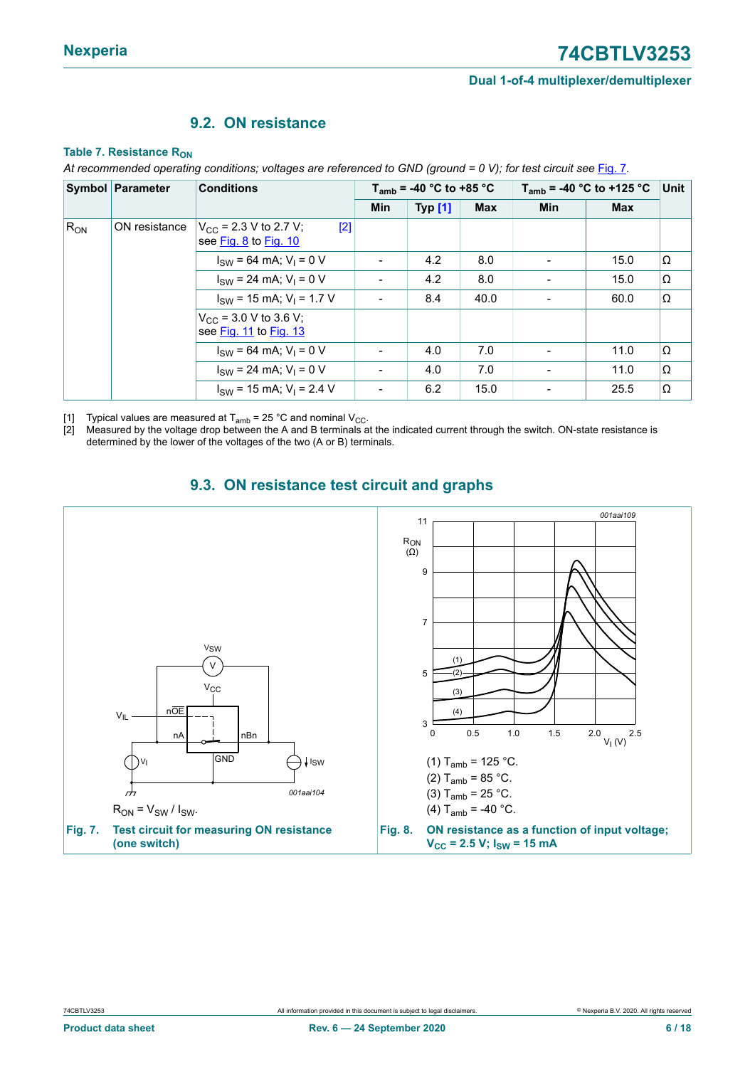### <span id="page-5-3"></span><span id="page-5-1"></span>**9.2. ON resistance**

#### **Table 7. Resistance** R<sub>ON</sub>

At recommended operating conditions; voltages are referenced to GND (ground = 0 V); for test circuit see [Fig. 7](#page-5-0).

|          | Symbol Parameter | <b>Conditions</b>                                                |            | $T_{amb}$ = -40 °C to +85 °C |            | $T_{amb}$ = -40 °C to +125 °C | Unit       |    |
|----------|------------------|------------------------------------------------------------------|------------|------------------------------|------------|-------------------------------|------------|----|
|          |                  |                                                                  | <b>Min</b> | <b>Typ [1]</b>               | <b>Max</b> | <b>Min</b>                    | <b>Max</b> |    |
| $R_{ON}$ | ON resistance    | [2]<br>$V_{\rm CC}$ = 2.3 V to 2.7 V;<br>see Fig. $8$ to Fig. 10 |            |                              |            |                               |            |    |
|          |                  | $I_{SW}$ = 64 mA; $V_1$ = 0 V                                    |            | 4.2                          | 8.0        |                               | 15.0       | lΩ |
|          |                  | $I_{SW}$ = 24 mA; $V_1$ = 0 V                                    |            | 4.2                          | 8.0        |                               | 15.0       | IΩ |
|          |                  | $I_{SW}$ = 15 mA; $V_1$ = 1.7 V                                  |            | 8.4                          | 40.0       |                               | 60.0       | lΩ |
|          |                  | $V_{\rm CC}$ = 3.0 V to 3.6 V;<br>see Fig. 11 to Fig. 13         |            |                              |            |                               |            |    |
|          |                  | $I_{SW}$ = 64 mA; $V_1$ = 0 V                                    |            | 4.0                          | 7.0        |                               | 11.0       | lΩ |
|          |                  | $I_{SW}$ = 24 mA; $V_1$ = 0 V                                    |            | 4.0                          | 7.0        |                               | 11.0       | lΩ |
|          |                  | $I_{SW}$ = 15 mA; $V_1$ = 2.4 V                                  |            | 6.2                          | 15.0       |                               | 25.5       | lΩ |

[1] Typical values are measured at  $T_{amb} = 25 \degree C$  and nominal  $V_{CC}$ .<br>[2] Measured by the voltage drop between the A and B terminals a

Measured by the voltage drop between the A and B terminals at the indicated current through the switch. ON-state resistance is determined by the lower of the voltages of the two (A or B) terminals.

### <span id="page-5-4"></span><span id="page-5-2"></span>**9.3. ON resistance test circuit and graphs**

<span id="page-5-0"></span>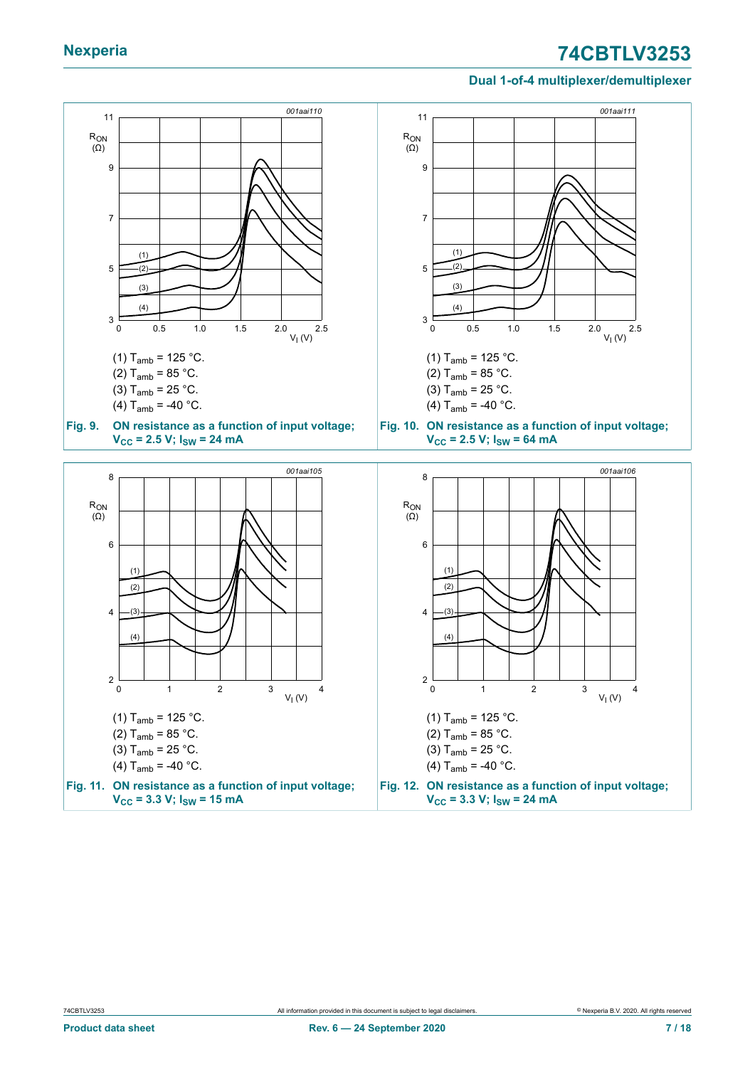### <span id="page-6-0"></span>**Dual 1-of-4 multiplexer/demultiplexer**

<span id="page-6-1"></span>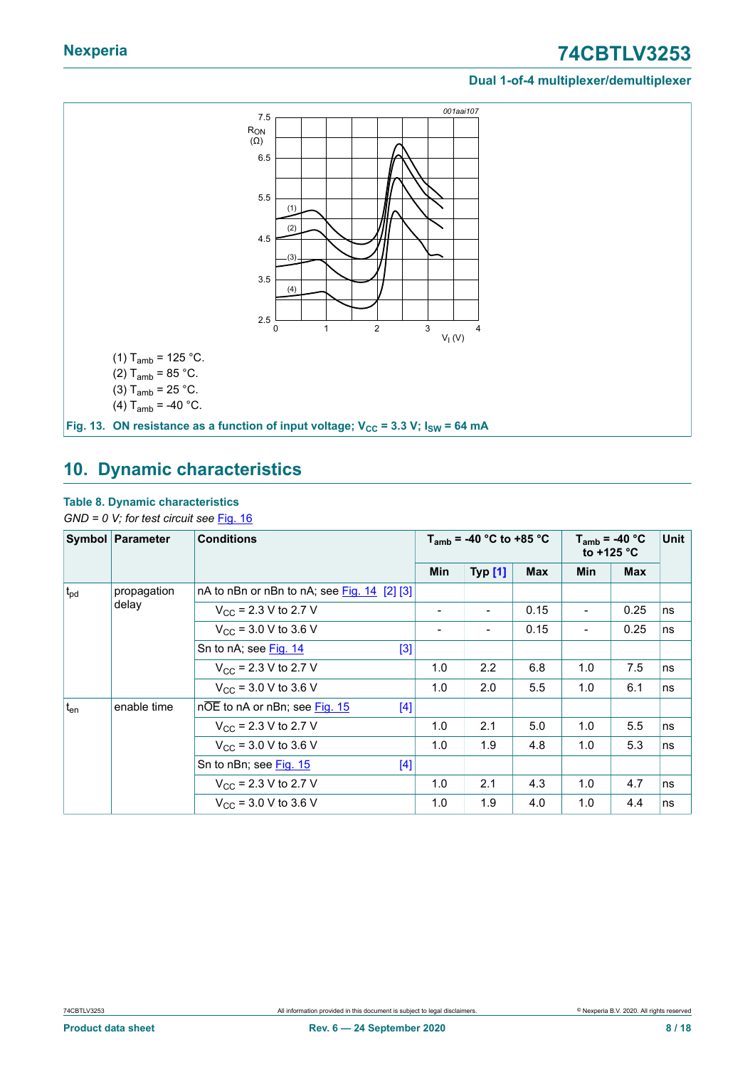### **Dual 1-of-4 multiplexer/demultiplexer**

<span id="page-7-0"></span>

# <span id="page-7-1"></span>**10. Dynamic characteristics**

### **Table 8. Dynamic characteristics**

*GND = 0 V; for test circuit see* [Fig. 16](#page-9-0)

|                 | Symbol Parameter | <b>Conditions</b>                           |            | $T_{amb}$ = -40 °C to +85 °C |            |                          | Unit<br>$T_{amb}$ = -40 °C<br>to $+125$ °C |    |
|-----------------|------------------|---------------------------------------------|------------|------------------------------|------------|--------------------------|--------------------------------------------|----|
|                 |                  |                                             | <b>Min</b> | <b>Typ [1]</b>               | <b>Max</b> | Min                      | <b>Max</b>                                 |    |
| t <sub>pd</sub> | propagation      | nA to nBn or nBn to nA; see Fig. 14 [2] [3] |            |                              |            |                          |                                            |    |
|                 | delay            | $V_{\rm CC}$ = 2.3 V to 2.7 V               |            |                              | 0.15       |                          | 0.25                                       | ns |
|                 |                  | $V_{CC}$ = 3.0 V to 3.6 V                   |            |                              | 0.15       | $\overline{\phantom{a}}$ | 0.25                                       | ns |
|                 |                  | Sn to nA; see Fig. 14<br>$[3]$              |            |                              |            |                          |                                            |    |
|                 |                  | $V_{\rm CC}$ = 2.3 V to 2.7 V               | 1.0        | 2.2                          | 6.8        | 1.0                      | 7.5                                        | ns |
|                 |                  | $V_{CC}$ = 3.0 V to 3.6 V                   | 1.0        | 2.0                          | 5.5        | 1.0                      | 6.1                                        | ns |
| $t_{en}$        | enable time      | nOE to nA or nBn; see Fig. 15<br>$[4]$      |            |                              |            |                          |                                            |    |
|                 |                  | $V_{CC}$ = 2.3 V to 2.7 V                   | 1.0        | 2.1                          | 5.0        | 1.0                      | 5.5                                        | ns |
|                 |                  | $V_{CC}$ = 3.0 V to 3.6 V                   | 1.0        | 1.9                          | 4.8        | 1.0                      | 5.3                                        | ns |
|                 |                  | Sn to nBn; see Fig. 15<br>$[4]$             |            |                              |            |                          |                                            |    |
|                 |                  | $V_{\rm CC}$ = 2.3 V to 2.7 V               | 1.0        | 2.1                          | 4.3        | 1.0                      | 4.7                                        | ns |
|                 |                  | $V_{CC}$ = 3.0 V to 3.6 V                   | 1.0        | 1.9                          | 4.0        | 1.0                      | 4.4                                        | ns |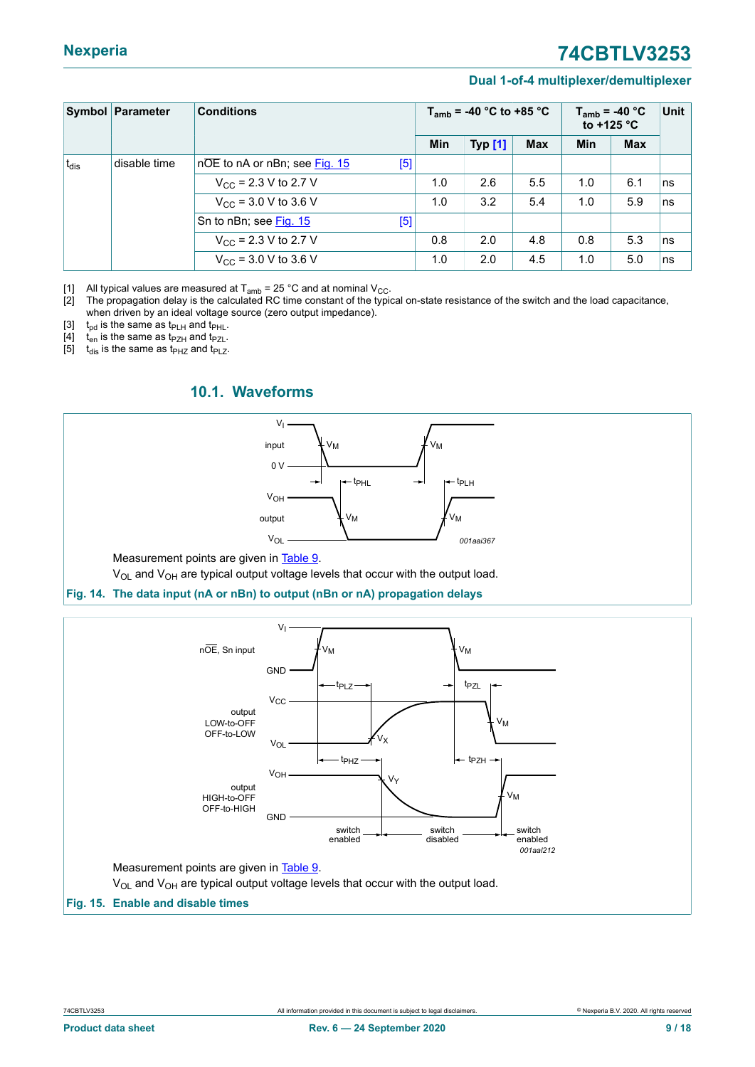### **Dual 1-of-4 multiplexer/demultiplexer**

<span id="page-8-0"></span>

|             | Symbol Parameter | <b>Conditions</b>                    | $T_{amb}$ = -40 °C to +85 °C |                | $T_{amb}$ = -40 °C<br>to +125 $^{\circ}$ C | Unit |            |           |
|-------------|------------------|--------------------------------------|------------------------------|----------------|--------------------------------------------|------|------------|-----------|
|             |                  |                                      | Min                          | <b>Typ [1]</b> | <b>Max</b>                                 | Min  | <b>Max</b> |           |
| $ t_{dis} $ | disable time     | nOE to nA or nBn; see Fig. 15<br>[5] |                              |                |                                            |      |            |           |
|             |                  | $V_{CC}$ = 2.3 V to 2.7 V            | 1.0                          | 2.6            | 5.5                                        | 1.0  | 6.1        | l ns      |
|             |                  | $V_{\text{CC}}$ = 3.0 V to 3.6 V     | 1.0                          | 3.2            | 5.4                                        | 1.0  | 5.9        | Ins       |
|             |                  | $[5]$<br>Sn to nBn; see Fig. 15      |                              |                |                                            |      |            |           |
|             |                  | $V_{\text{CC}}$ = 2.3 V to 2.7 V     | 0.8                          | 2.0            | 4.8                                        | 0.8  | 5.3        | lns.      |
|             |                  | $V_{\text{CC}}$ = 3.0 V to 3.6 V     | 1.0                          | 2.0            | 4.5                                        | 1.0  | 5.0        | <b>ns</b> |

[1]  $\,$  All typical values are measured at T $_{\sf amb}$  = 25 °C and at nominal V $_{\sf CC}$ .

[2] The propagation delay is the calculated RC time constant of the typical on-state resistance of the switch and the load capacitance, when driven by an ideal voltage source (zero output impedance).

[3]  $t_{pd}$  is the same as  $t_{PLH}$  and  $t_{PHL}$ .<br>[4]  $t_{en}$  is the same as  $t_{PZH}$  and  $t_{PZL}$ .

[4]  $t_{en}$  is the same as  $t_{PZH}$  and  $t_{PZL}$ .<br>[5]  $t_{dis}$  is the same as  $t_{PHZ}$  and  $t_{PLZ}$ .

<span id="page-8-1"></span> $t_{dis}$  is the same as  $t_{PHZ}$  and  $t_{PLZ}$ .

### <span id="page-8-3"></span>**10.1. Waveforms**



Measurement points are given in [Table](#page-9-1) 9.

V<sub>OL</sub> and V<sub>OH</sub> are typical output voltage levels that occur with the output load.

**Fig. 14. The data input (nA or nBn) to output (nBn or nA) propagation delays**

<span id="page-8-2"></span>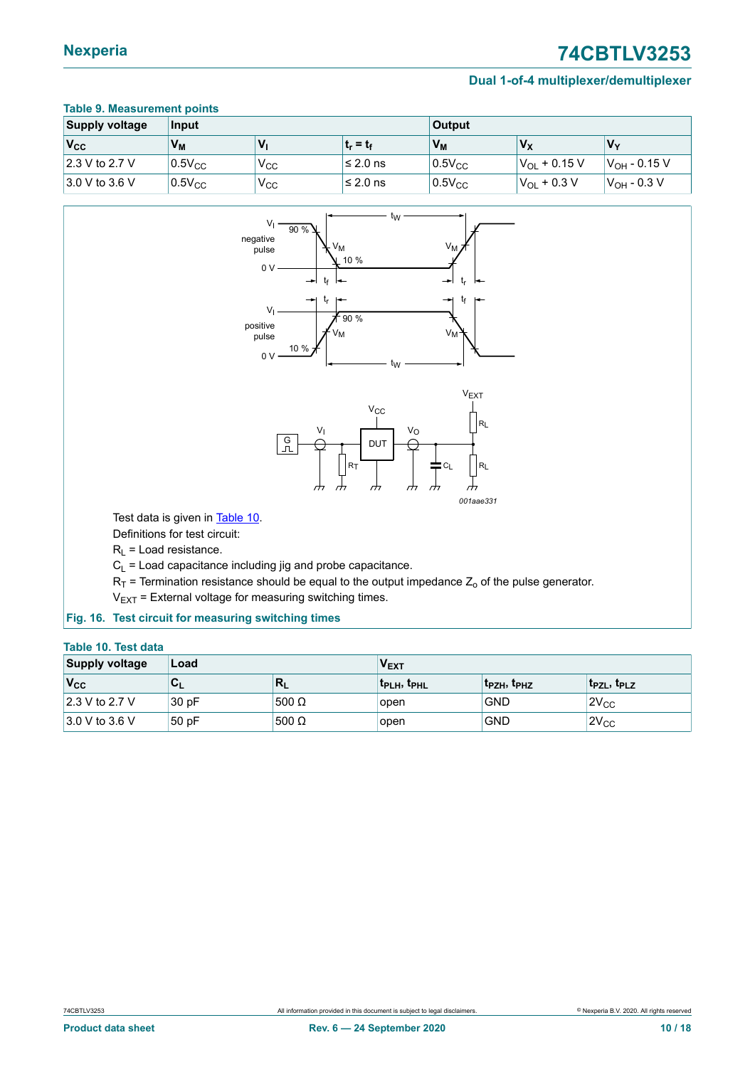### **Dual 1-of-4 multiplexer/demultiplexer**

<span id="page-9-0"></span>

| TUDIO VI MOUJULUITUITU DOMINJ<br><b>Supply voltage</b><br>Input |                      |              |             | <b>Output</b> |                   |                          |
|-----------------------------------------------------------------|----------------------|--------------|-------------|---------------|-------------------|--------------------------|
| $V_{\rm CC}$                                                    | Vм                   |              | $t_r = t_f$ | $V_{M}$       | $V_{\rm X}$       | Vv                       |
| $ 2.3 \vee \text{to } 2.7 \vee$                                 | $0.5V_{CC}$          | Vcc          | l≤ 2.0 ns   | $0.5V_{CC}$   | $V_{OL}$ + 0.15 V | V <sub>OH</sub> - 0.15 V |
| $3.0 V$ to 3.6 V                                                | $ 0.5$ V $_{\rm CC}$ | $\rm v_{cc}$ | $≤ 2.0$ ns  | $0.5V_{CC}$   | $V_{OL}$ + 0.3 V  | V <sub>OH</sub> - 0.3 V  |



<span id="page-9-1"></span>

*001aae331*

Test data is given in [Table](#page-9-2) 10.

Definitions for test circuit:

 $R_L$  = Load resistance.

 $C_L$  = Load capacitance including jig and probe capacitance.

 $R_T$  = Termination resistance should be equal to the output impedance  $Z_0$  of the pulse generator.

<span id="page-9-2"></span> $V_{EXT}$  = External voltage for measuring switching times.

### **Fig. 16. Test circuit for measuring switching times**

|  |  | Table 10. Test data |  |
|--|--|---------------------|--|
|  |  |                     |  |

| <b>Supply voltage</b>           | Load  |              | <b>VEXT</b>        |                                     |                   |
|---------------------------------|-------|--------------|--------------------|-------------------------------------|-------------------|
| $V_{\rm CC}$                    | ◡∟    | $R_L$        | <b>TPLH</b> , TPHL | T <sub>PZH</sub> , T <sub>PHZ</sub> | <b>TPZL, TPLZ</b> |
| $ 2.3 \vee \text{to } 2.7 \vee$ | 30 pF | 500 $\Omega$ | open               | <b>GND</b>                          | $2V_{CC}$         |
| $3.0 V$ to 3.6 V                | 50pF  | 500 $\Omega$ | open               | <b>GND</b>                          | $2V_{CC}$         |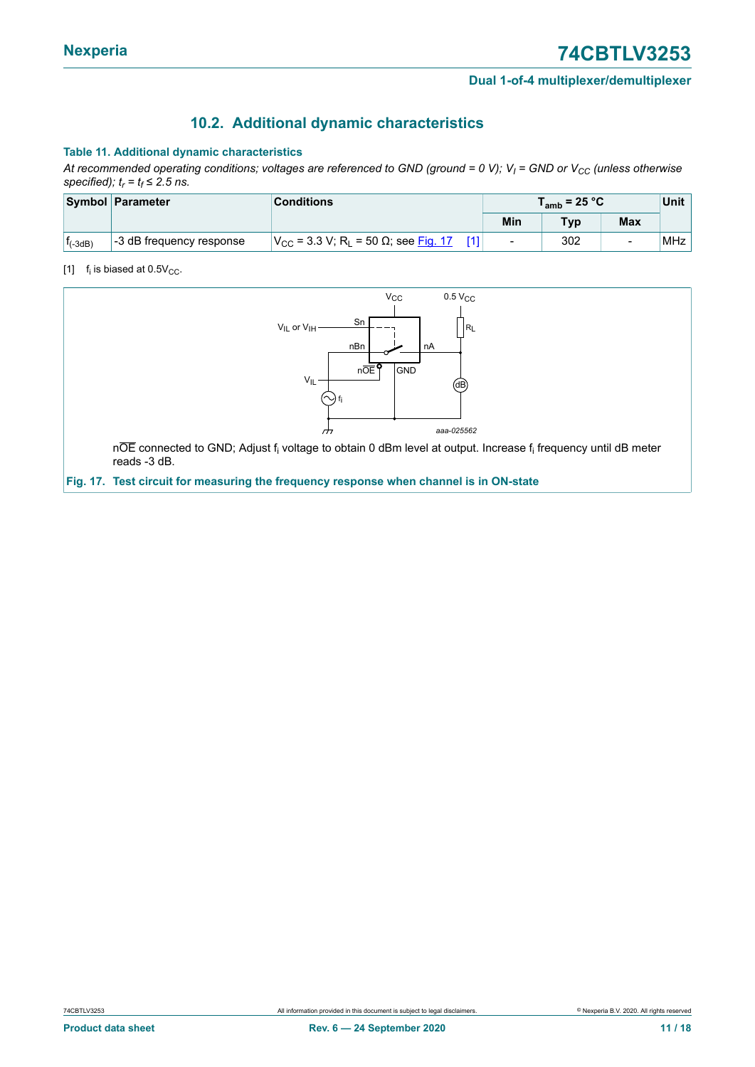### <span id="page-10-2"></span><span id="page-10-1"></span>**10.2. Additional dynamic characteristics**

### **Table 11. Additional dynamic characteristics**

*At recommended operating conditions; voltages are referenced to GND (ground = 0 V); V<sup>I</sup> = GND or VCC (unless otherwise specified); t<sup>r</sup> = t<sup>f</sup> ≤ 2.5 ns.*

|              | Symbol Parameter              | <b>Conditions</b>                                           |  | $T_{amb}$ = 25 °C |                |            | Unit       |
|--------------|-------------------------------|-------------------------------------------------------------|--|-------------------|----------------|------------|------------|
|              |                               |                                                             |  | Min               | T <sub>V</sub> | <b>Max</b> |            |
| $I_{(-3dB)}$ | $\pm$ 3 dB frequency response | $V_{CC}$ = 3.3 V; R <sub>L</sub> = 50 Ω; see <u>Fig. 17</u> |  | $\blacksquare$    | 302            |            | <b>MHz</b> |

#### [1]  $f_i$  is biased at 0.5V<sub>CC</sub>.

<span id="page-10-0"></span>

**Fig. 17. Test circuit for measuring the frequency response when channel is in ON-state**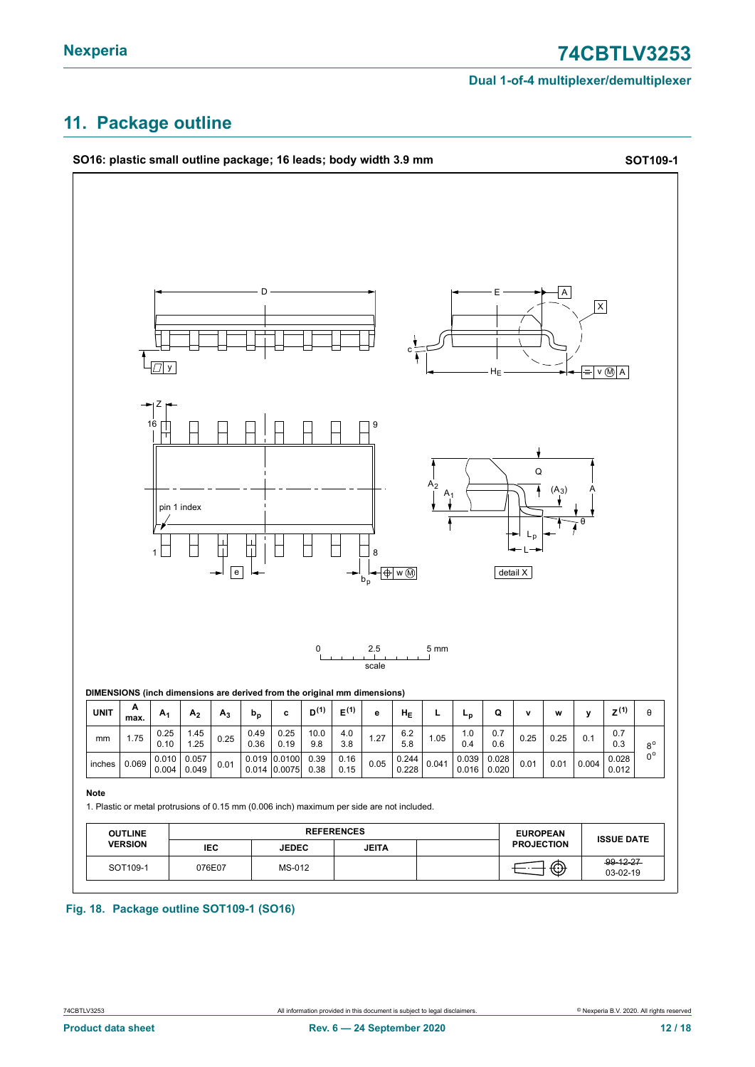# <span id="page-11-0"></span>**11. Package outline**



### **Fig. 18. Package outline SOT109-1 (SO16)**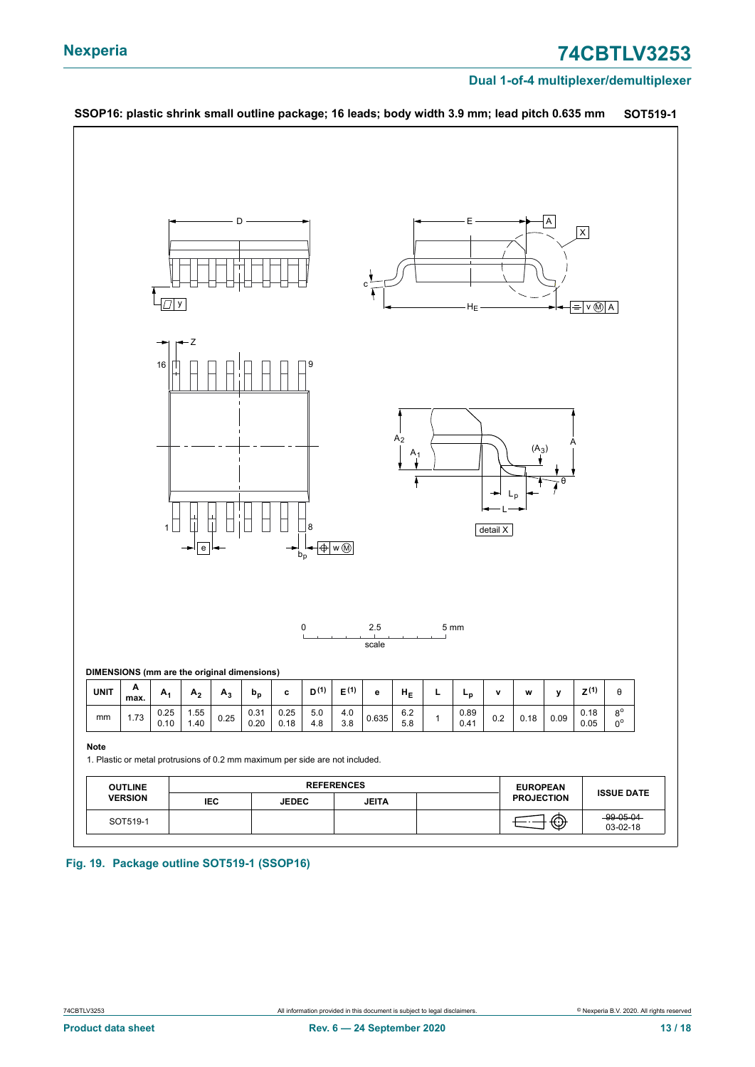### **Dual 1-of-4 multiplexer/demultiplexer**



**SSOP16: plastic shrink small outline package; 16 leads; body width 3.9 mm; lead pitch 0.635 mm SOT519-1**

**Fig. 19. Package outline SOT519-1 (SSOP16)**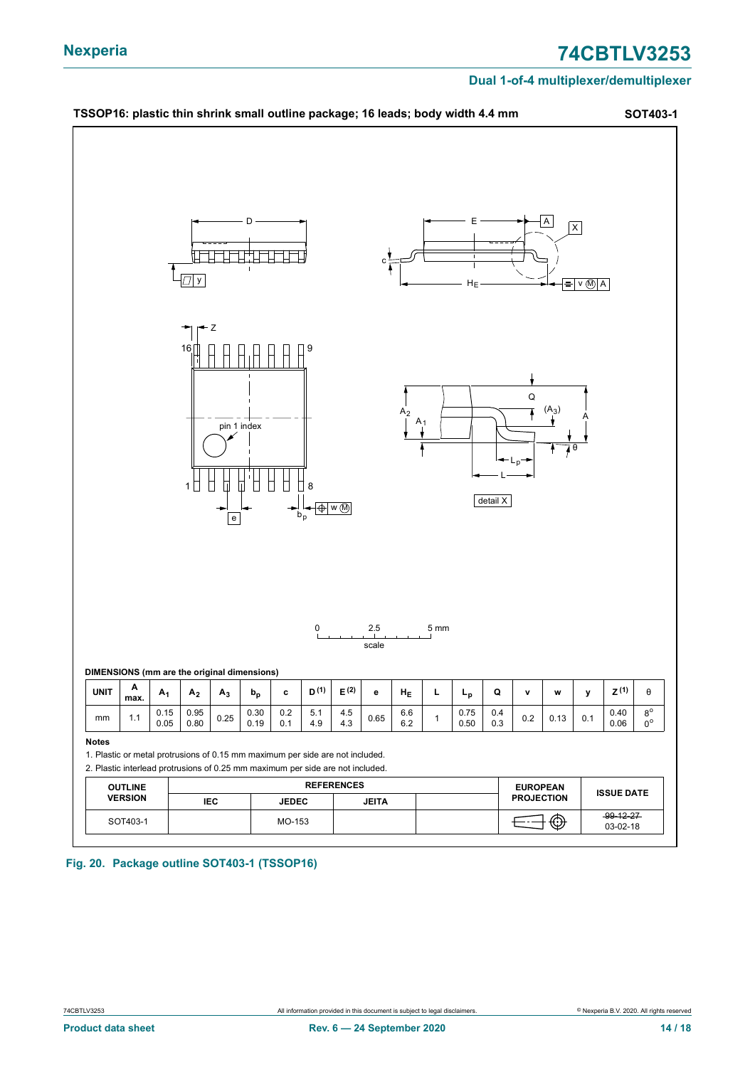

**Fig. 20. Package outline SOT403-1 (TSSOP16)**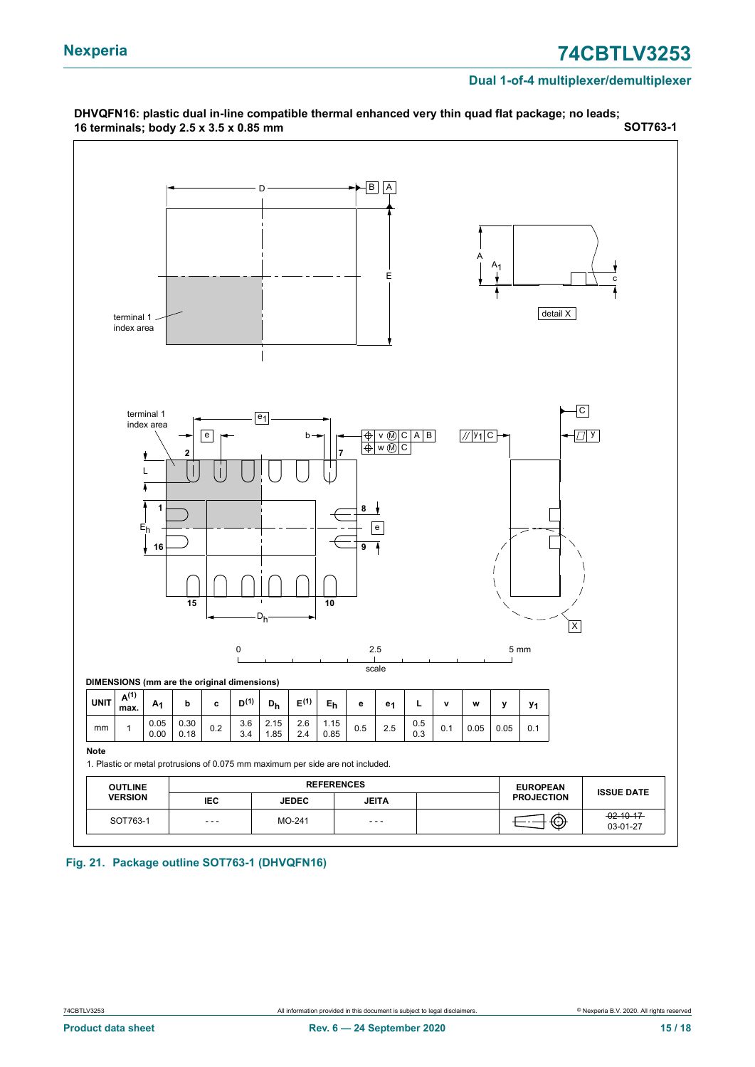

**Fig. 21. Package outline SOT763-1 (DHVQFN16)**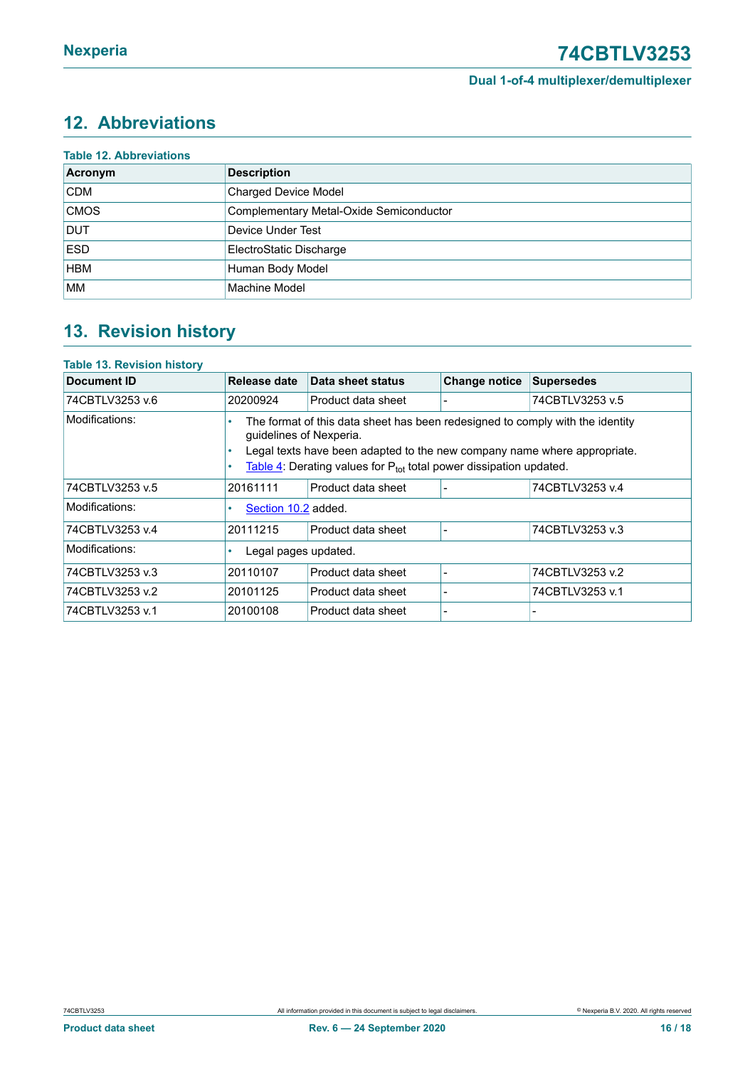### <span id="page-15-0"></span>**12. Abbreviations**

| <b>Table 12. Abbreviations</b> |                                         |  |  |  |  |
|--------------------------------|-----------------------------------------|--|--|--|--|
| Acronym                        | <b>Description</b>                      |  |  |  |  |
| <b>CDM</b>                     | <b>Charged Device Model</b>             |  |  |  |  |
| <b>CMOS</b>                    | Complementary Metal-Oxide Semiconductor |  |  |  |  |
| <b>DUT</b>                     | Device Under Test                       |  |  |  |  |
| <b>ESD</b>                     | ElectroStatic Discharge                 |  |  |  |  |
| <b>HBM</b>                     | Human Body Model                        |  |  |  |  |
| <b>MM</b>                      | Machine Model                           |  |  |  |  |

### <span id="page-15-1"></span>**13. Revision history**

### **Table 13. Revision history Document ID Release date Data sheet status Change notice Supersedes** 74CBTLV3253 v.6 20200924 Product data sheet - 74CBTLV3253 v.5 Modifications:  $\|\cdot\|$  The format of this data sheet has been redesigned to comply with the identity guidelines of Nexperia. • Legal texts have been adapted to the new company name where appropriate. • [Table](#page-3-1) 4: Derating values for  $P_{tot}$  total power dissipation updated. 74CBTLV3253 v.5 20161111 Product data sheet - 74CBTLV3253 v.4 Modifications: **• [Section 10.2](#page-10-2) added.** 74CBTLV3253 v.4 20111215 Product data sheet - 74CBTLV3253 v.3 Modifications: **• Legal pages updated.** 74CBTLV3253 v.3 20110107 Product data sheet - 74CBTLV3253 v.2 74CBTLV3253 v.2 20101125 Product data sheet - 74CBTLV3253 v.1 74CBTLV3253 v.1 20100108 Product data sheet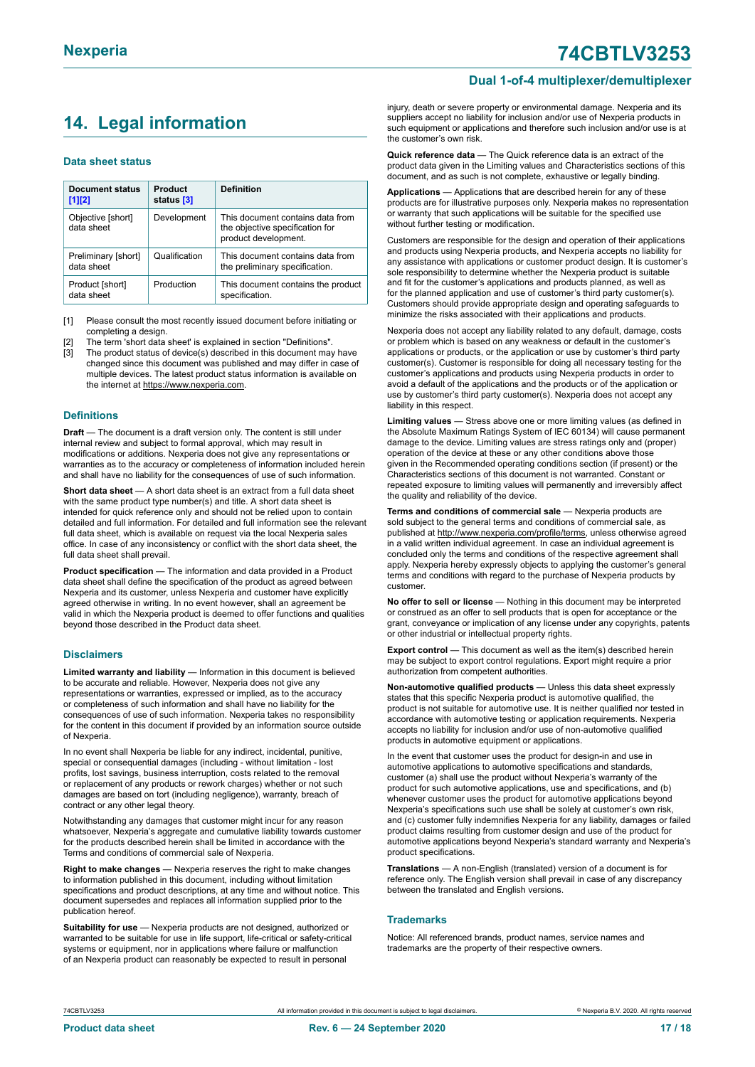**Dual 1-of-4 multiplexer/demultiplexer**

# <span id="page-16-0"></span>**14. Legal information**

#### **Data sheet status**

| Document status<br>$[1]$ [2]      | <b>Product</b><br>status [3] | <b>Definition</b>                                                                           |
|-----------------------------------|------------------------------|---------------------------------------------------------------------------------------------|
| Objective [short]<br>data sheet   | Development                  | This document contains data from<br>the objective specification for<br>product development. |
| Preliminary [short]<br>data sheet | Qualification                | This document contains data from<br>the preliminary specification.                          |
| Product [short]<br>data sheet     | Production                   | This document contains the product<br>specification.                                        |

[1] Please consult the most recently issued document before initiating or completing a design.

- The term 'short data sheet' is explained in section "Definitions".
- [3] The product status of device(s) described in this document may have changed since this document was published and may differ in case of multiple devices. The latest product status information is available on the internet at [https://www.nexperia.com.](https://www.nexperia.com)

#### **Definitions**

**Draft** — The document is a draft version only. The content is still under internal review and subject to formal approval, which may result in modifications or additions. Nexperia does not give any representations or warranties as to the accuracy or completeness of information included herein and shall have no liability for the consequences of use of such information.

**Short data sheet** — A short data sheet is an extract from a full data sheet with the same product type number(s) and title. A short data sheet is intended for quick reference only and should not be relied upon to contain detailed and full information. For detailed and full information see the relevant full data sheet, which is available on request via the local Nexperia sales office. In case of any inconsistency or conflict with the short data sheet, the full data sheet shall prevail.

**Product specification** — The information and data provided in a Product data sheet shall define the specification of the product as agreed between Nexperia and its customer, unless Nexperia and customer have explicitly agreed otherwise in writing. In no event however, shall an agreement be valid in which the Nexperia product is deemed to offer functions and qualities beyond those described in the Product data sheet.

#### **Disclaimers**

**Limited warranty and liability** — Information in this document is believed to be accurate and reliable. However, Nexperia does not give any representations or warranties, expressed or implied, as to the accuracy or completeness of such information and shall have no liability for the consequences of use of such information. Nexperia takes no responsibility for the content in this document if provided by an information source outside of Nexperia.

In no event shall Nexperia be liable for any indirect, incidental, punitive, special or consequential damages (including - without limitation - lost profits, lost savings, business interruption, costs related to the removal or replacement of any products or rework charges) whether or not such damages are based on tort (including negligence), warranty, breach of contract or any other legal theory.

Notwithstanding any damages that customer might incur for any reason whatsoever, Nexperia's aggregate and cumulative liability towards customer for the products described herein shall be limited in accordance with the Terms and conditions of commercial sale of Nexperia.

**Right to make changes** — Nexperia reserves the right to make changes to information published in this document, including without limitation specifications and product descriptions, at any time and without notice. This document supersedes and replaces all information supplied prior to the publication hereof

**Suitability for use** — Nexperia products are not designed, authorized or warranted to be suitable for use in life support, life-critical or safety-critical systems or equipment, nor in applications where failure or malfunction of an Nexperia product can reasonably be expected to result in personal

injury, death or severe property or environmental damage. Nexperia and its suppliers accept no liability for inclusion and/or use of Nexperia products in such equipment or applications and therefore such inclusion and/or use is at the customer's own risk.

**Quick reference data** — The Quick reference data is an extract of the product data given in the Limiting values and Characteristics sections of this document, and as such is not complete, exhaustive or legally binding.

**Applications** — Applications that are described herein for any of these products are for illustrative purposes only. Nexperia makes no representation or warranty that such applications will be suitable for the specified use without further testing or modification.

Customers are responsible for the design and operation of their applications and products using Nexperia products, and Nexperia accepts no liability for any assistance with applications or customer product design. It is customer's sole responsibility to determine whether the Nexperia product is suitable and fit for the customer's applications and products planned, as well as for the planned application and use of customer's third party customer(s). Customers should provide appropriate design and operating safeguards to minimize the risks associated with their applications and products.

Nexperia does not accept any liability related to any default, damage, costs or problem which is based on any weakness or default in the customer's applications or products, or the application or use by customer's third party customer(s). Customer is responsible for doing all necessary testing for the customer's applications and products using Nexperia products in order to avoid a default of the applications and the products or of the application or use by customer's third party customer(s). Nexperia does not accept any liability in this respect.

**Limiting values** — Stress above one or more limiting values (as defined in the Absolute Maximum Ratings System of IEC 60134) will cause permanent damage to the device. Limiting values are stress ratings only and (proper) operation of the device at these or any other conditions above those given in the Recommended operating conditions section (if present) or the Characteristics sections of this document is not warranted. Constant or repeated exposure to limiting values will permanently and irreversibly affect the quality and reliability of the device.

**Terms and conditions of commercial sale** — Nexperia products are sold subject to the general terms and conditions of commercial sale, as published at [http://www.nexperia.com/profile/terms,](http://www.nexperia.com/profile/terms) unless otherwise agreed in a valid written individual agreement. In case an individual agreement is concluded only the terms and conditions of the respective agreement shall apply. Nexperia hereby expressly objects to applying the customer's general terms and conditions with regard to the purchase of Nexperia products by customer.

**No offer to sell or license** — Nothing in this document may be interpreted or construed as an offer to sell products that is open for acceptance or the grant, conveyance or implication of any license under any copyrights, patents or other industrial or intellectual property rights.

**Export control** — This document as well as the item(s) described herein may be subject to export control regulations. Export might require a prior authorization from competent authorities.

**Non-automotive qualified products** — Unless this data sheet expressly states that this specific Nexperia product is automotive qualified, the product is not suitable for automotive use. It is neither qualified nor tested in accordance with automotive testing or application requirements. Nexperia accepts no liability for inclusion and/or use of non-automotive qualified products in automotive equipment or applications.

In the event that customer uses the product for design-in and use in automotive applications to automotive specifications and standards, customer (a) shall use the product without Nexperia's warranty of the product for such automotive applications, use and specifications, and (b) whenever customer uses the product for automotive applications beyond Nexperia's specifications such use shall be solely at customer's own risk, and (c) customer fully indemnifies Nexperia for any liability, damages or failed product claims resulting from customer design and use of the product for automotive applications beyond Nexperia's standard warranty and Nexperia's product specifications.

**Translations** — A non-English (translated) version of a document is for reference only. The English version shall prevail in case of any discrepancy between the translated and English versions.

#### **Trademarks**

Notice: All referenced brands, product names, service names and trademarks are the property of their respective owners.